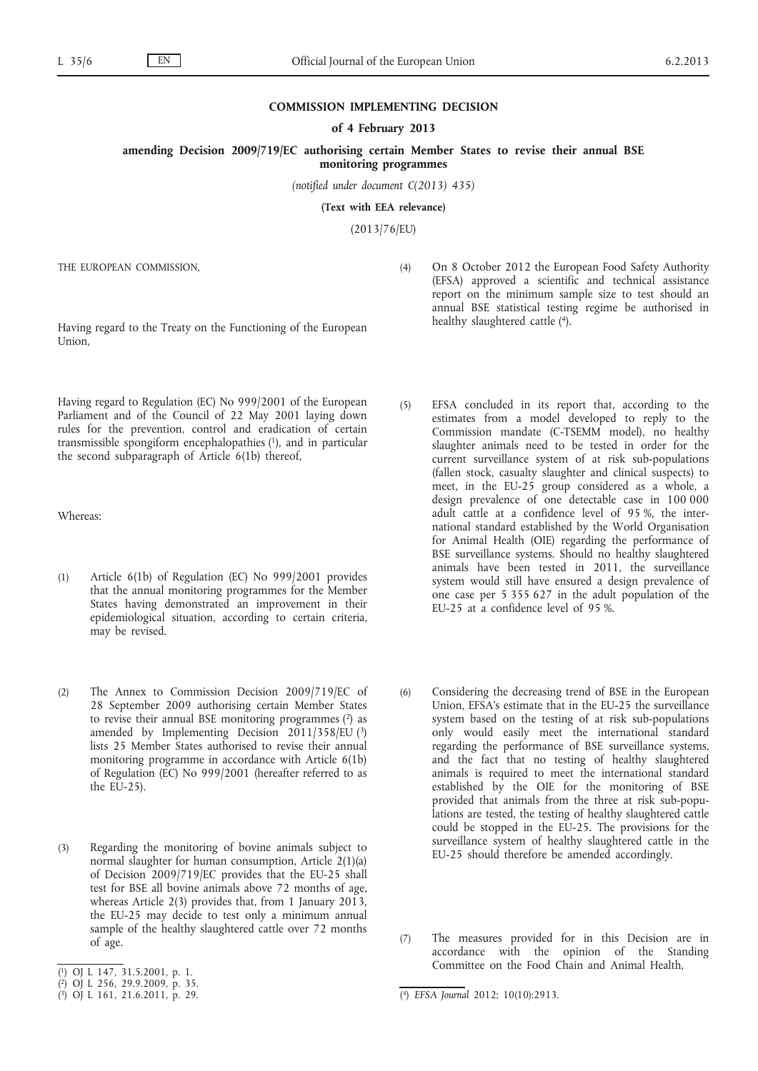## **COMMISSION IMPLEMENTING DECISION**

## **of 4 February 2013**

**amending Decision 2009/719/EC authorising certain Member States to revise their annual BSE monitoring programmes**

*(notified under document C(2013) 435)*

**(Text with EEA relevance)**

(2013/76/EU)

THE EUROPEAN COMMISSION,

Having regard to the Treaty on the Functioning of the European Union,

Having regard to Regulation (EC) No 999/2001 of the European Parliament and of the Council of 22 May 2001 laying down rules for the prevention, control and eradication of certain transmissible spongiform encephalopathies  $(1)$ , and in particular the second subparagraph of Article 6(1b) thereof,

Whereas:

- (1) Article 6(1b) of Regulation (EC) No 999/2001 provides that the annual monitoring programmes for the Member States having demonstrated an improvement in their epidemiological situation, according to certain criteria, may be revised.
- (2) The Annex to Commission Decision 2009/719/EC of 28 September 2009 authorising certain Member States to revise their annual BSE monitoring programmes (2) as amended by Implementing Decision 2011/358/EU (3) lists 25 Member States authorised to revise their annual monitoring programme in accordance with Article 6(1b) of Regulation (EC) No 999/2001 (hereafter referred to as the EU-25).
- (3) Regarding the monitoring of bovine animals subject to normal slaughter for human consumption, Article 2(1)(a) of Decision 2009/719/EC provides that the EU-25 shall test for BSE all bovine animals above 72 months of age, whereas Article 2(3) provides that, from 1 January 2013, the EU-25 may decide to test only a minimum annual sample of the healthy slaughtered cattle over 72 months of age.
- ( 1) OJ L 147, 31.5.2001, p. 1.
- (4) On 8 October 2012 the European Food Safety Authority (EFSA) approved a scientific and technical assistance report on the minimum sample size to test should an annual BSE statistical testing regime be authorised in healthy slaughtered cattle (4).
- (5) EFSA concluded in its report that, according to the estimates from a model developed to reply to the Commission mandate (C-TSEMM model), no healthy slaughter animals need to be tested in order for the current surveillance system of at risk sub-populations (fallen stock, casualty slaughter and clinical suspects) to meet, in the EU-25 group considered as a whole, a design prevalence of one detectable case in 100 000 adult cattle at a confidence level of 95 %, the international standard established by the World Organisation for Animal Health (OIE) regarding the performance of BSE surveillance systems. Should no healthy slaughtered animals have been tested in 2011, the surveillance system would still have ensured a design prevalence of one case per 5 355 627 in the adult population of the EU-25 at a confidence level of 95 %.
- (6) Considering the decreasing trend of BSE in the European Union, EFSA's estimate that in the EU-25 the surveillance system based on the testing of at risk sub-populations only would easily meet the international standard regarding the performance of BSE surveillance systems, and the fact that no testing of healthy slaughtered animals is required to meet the international standard established by the OIE for the monitoring of BSE provided that animals from the three at risk sub-populations are tested, the testing of healthy slaughtered cattle could be stopped in the EU-25. The provisions for the surveillance system of healthy slaughtered cattle in the EU-25 should therefore be amended accordingly.
- (7) The measures provided for in this Decision are in accordance with the opinion of the Standing Committee on the Food Chain and Animal Health,

<sup>(</sup> 2) OJ L 256, 29.9.2009, p. 35.

 $(3)$  OJ L 161, 21.6.2011, p. 29.

<sup>(4)</sup> EFSA Journal 2012; 10(10):2913.